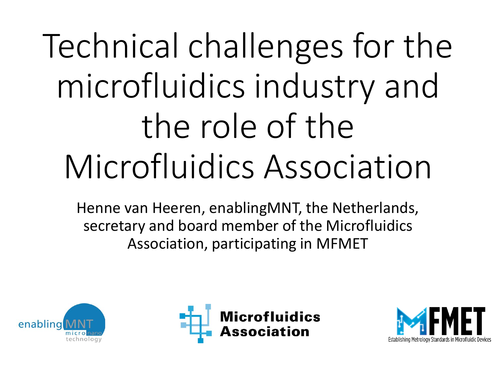# Technical challenges for the microfluidics industry and the role of the Microfluidics Association

Henne van Heeren, enablingMNT, the Netherlands, secretary and board member of the Microfluidics Association, participating in MFMET





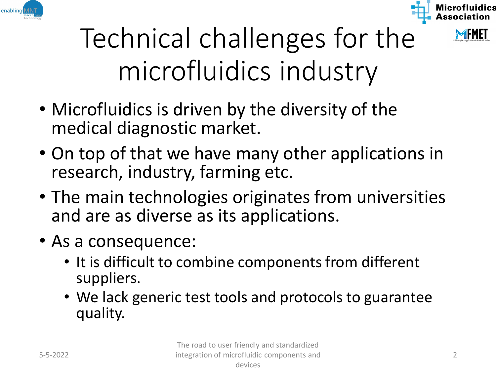





- Microfluidics is driven by the diversity of the medical diagnostic market.
- On top of that we have many other applications in research, industry, farming etc.
- The main technologies originates from universities and are as diverse as its applications.
- As a consequence:
	- It is difficult to combine components from different suppliers.
	- We lack generic test tools and protocols to guarantee quality.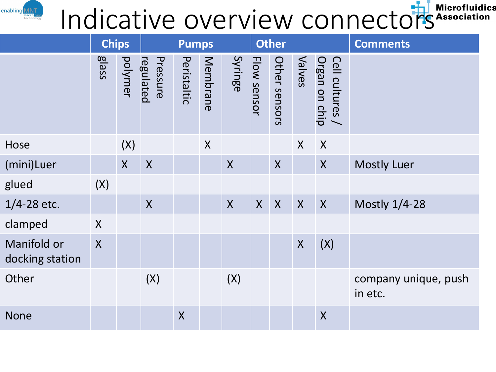# Indicative overview connectors Microfluidics

enabling

|                                | <b>Chips</b>            |         | <b>Pumps</b>          |             |          |                  | <b>Other</b> |                  |                  |                                  | <b>Comments</b>                 |
|--------------------------------|-------------------------|---------|-----------------------|-------------|----------|------------------|--------------|------------------|------------------|----------------------------------|---------------------------------|
|                                | <b>glass</b>            | polymer | regulated<br>Pressure | Peristaltic | Membrane | Syringe          | Flow sensor  | Other sensors    | Valves           | Cell cultures /<br>Organ on chip |                                 |
| Hose                           |                         | (X)     |                       |             | X        |                  |              |                  | X                | X                                |                                 |
| (mini)Luer                     |                         | $\sf X$ | $\boldsymbol{X}$      |             |          | X                |              | $\boldsymbol{X}$ |                  | $\boldsymbol{X}$                 | <b>Mostly Luer</b>              |
| glued                          | (X)                     |         |                       |             |          |                  |              |                  |                  |                                  |                                 |
| 1/4-28 etc.                    |                         |         | $\sf X$               |             |          | $\boldsymbol{X}$ | $\mathsf{X}$ | $\boldsymbol{X}$ | $\boldsymbol{X}$ | $\sf X$                          | <b>Mostly 1/4-28</b>            |
| clamped                        | $\sf X$                 |         |                       |             |          |                  |              |                  |                  |                                  |                                 |
| Manifold or<br>docking station | $\overline{\mathsf{X}}$ |         |                       |             |          |                  |              |                  | $\boldsymbol{X}$ | (X)                              |                                 |
| Other                          |                         |         | (X)                   |             |          | (X)              |              |                  |                  |                                  | company unique, push<br>in etc. |
| <b>None</b>                    |                         |         |                       | $\sf X$     |          |                  |              |                  |                  | $\sf X$                          |                                 |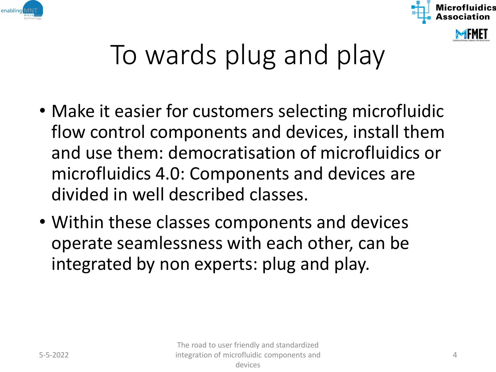



## To wards plug and play

- Make it easier for customers selecting microfluidic flow control components and devices, install them and use them: democratisation of microfluidics or microfluidics 4.0: Components and devices are divided in well described classes.
- Within these classes components and devices operate seamlessness with each other, can be integrated by non experts: plug and play.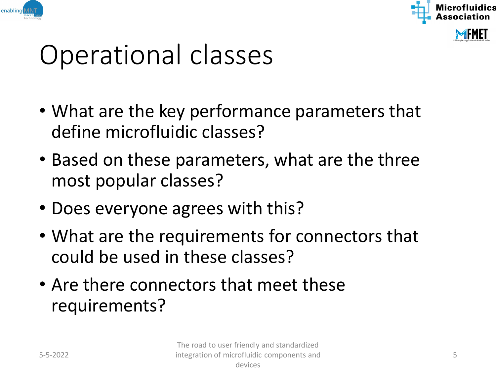



#### Operational classes

- What are the key performance parameters that define microfluidic classes?
- Based on these parameters, what are the three most popular classes?
- Does everyone agrees with this?
- What are the requirements for connectors that could be used in these classes?
- Are there connectors that meet these requirements?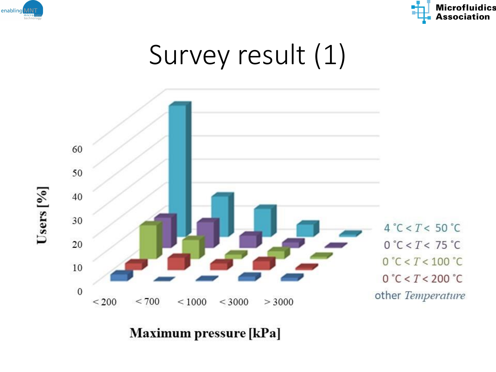

Users  $[%]$ 



#### Survey result (1)



**Maximum pressure [kPa]**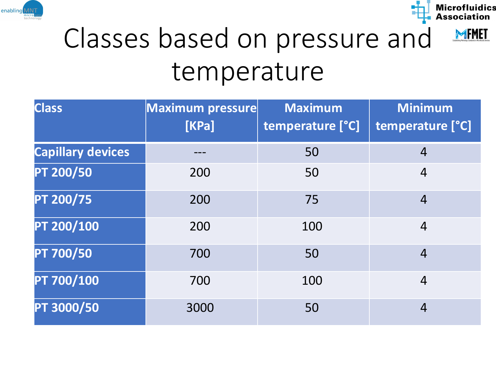



#### Classes based on pressure and temperature

| <b>Class</b>             | Maximum pressure<br>[KPa] | <b>Maximum</b><br>temperature [°C] | <b>Minimum</b><br>temperature [°C] |
|--------------------------|---------------------------|------------------------------------|------------------------------------|
| <b>Capillary devices</b> |                           | 50                                 | $\overline{4}$                     |
| PT 200/50                | 200                       | 50                                 | $\overline{4}$                     |
| PT 200/75                | 200                       | 75                                 | $\overline{4}$                     |
| PT 200/100               | 200                       | 100                                | $\overline{4}$                     |
| PT 700/50                | 700                       | 50                                 | $\overline{4}$                     |
| PT 700/100               | 700                       | 100                                | $\overline{4}$                     |
| PT 3000/50               | 3000                      | 50                                 | $\overline{4}$                     |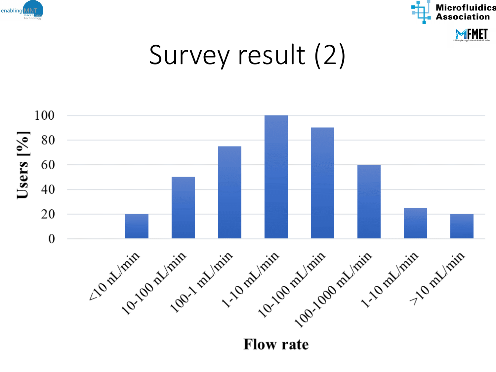



#### Survey result (2)



**Flow rate**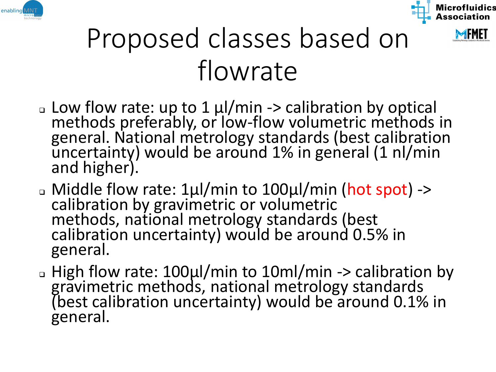





- ❑ Low flow rate: up to 1 µl/min -> calibration by optical methods preferably, or low-flow volumetric methods in general. National metrology standards (best calibration uncertainty) would be around 1% in general (1 nl/min and higher).
- ❑ Middle flow rate: 1µl/min to 100µl/min (hot spot) -> calibration by gravimetric or volumetric methods, national metrology standards (best calibration uncertainty) would be around 0.5% in general.
- ❑ High flow rate: 100µl/min to 10ml/min -> calibration by gravimetric methods, national metrology standards (best calibration uncertainty) would be around 0.1% in general.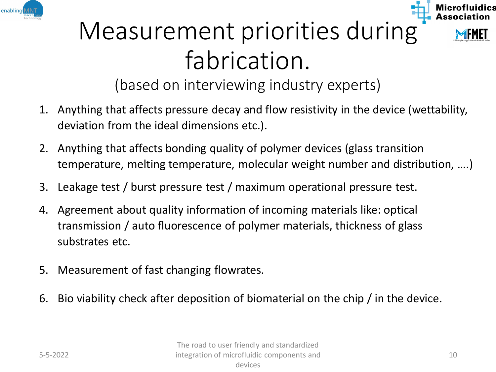



#### Measurement priorities during fabrication.

(based on interviewing industry experts)

- 1. Anything that affects pressure decay and flow resistivity in the device (wettability, deviation from the ideal dimensions etc.).
- 2. Anything that affects bonding quality of polymer devices (glass transition temperature, melting temperature, molecular weight number and distribution, ….)
- 3. Leakage test / burst pressure test / maximum operational pressure test.
- 4. Agreement about quality information of incoming materials like: optical transmission / auto fluorescence of polymer materials, thickness of glass substrates etc.
- 5. Measurement of fast changing flowrates.
- 6. Bio viability check after deposition of biomaterial on the chip / in the device.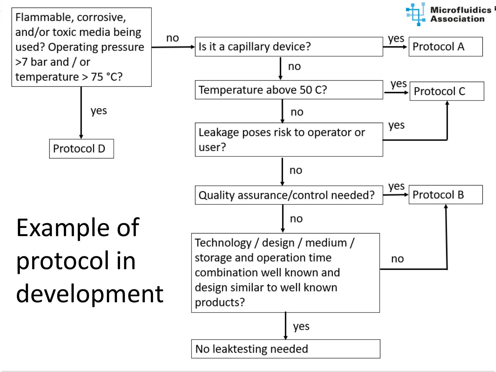